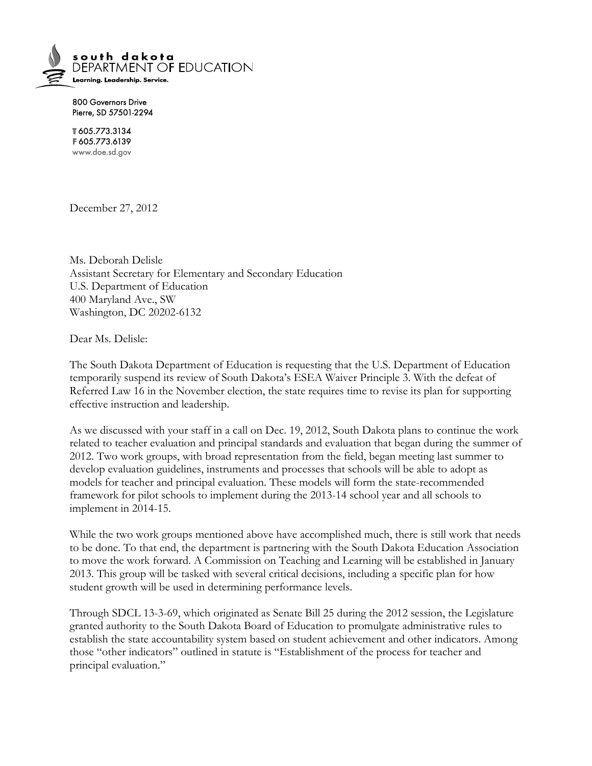

800 Governors Drive Pierre, SD 57501-2294

T605.773.3134 F605.773.6139 www.doe.sd.gov

December 27, 2012

Ms. Deborah Delisle Assistant Secretary for Elementary and Secondary Education U.S. Department of Education 400 Maryland Ave., SW Washington, DC 20202-6132

Dear Ms. Delisle:

The South Dakota Department of Education is requesting that the U.S. Department of Education temporarily suspend its review of South Dakota's ESEA Waiver Principle 3. With the defeat of Referred Law 16 in the November election, the state requires time to revise its plan for supporting effective instruction and leadership.

As we discussed with your staff in a call on Dec. 19, 2012, South Dakota plans to continue the work related to teacher evaluation and principal standards and evaluation that began during the summer of 2012. Two work groups, with broad representation from the field, began meeting last summer to develop evaluation guidelines, instruments and processes that schools will be able to adopt as models for teacher and principal evaluation. These models will form the state-recommended framework for pilot schools to implement during the 2013-14 school year and all schools to implement in 2014-15.

While the two work groups mentioned above have accomplished much, there is still work that needs to be done. To that end, the department is partnering with the South Dakota Education Association to move the work forward. A Commission on Teaching and Learning will be established in January 2013. This group will be tasked with several critical decisions, including a specific plan for how student growth will be used in determining performance levels.

Through SDCL 13-3-69, which originated as Senate Bill 25 during the 2012 session, the Legislature granted authority to the South Dakota Board of Education to promulgate administrative rules to establish the state accountability system based on student achievement and other indicators. Among those "other indicators" outlined in statute is "Establishment of the process for teacher and principal evaluation."